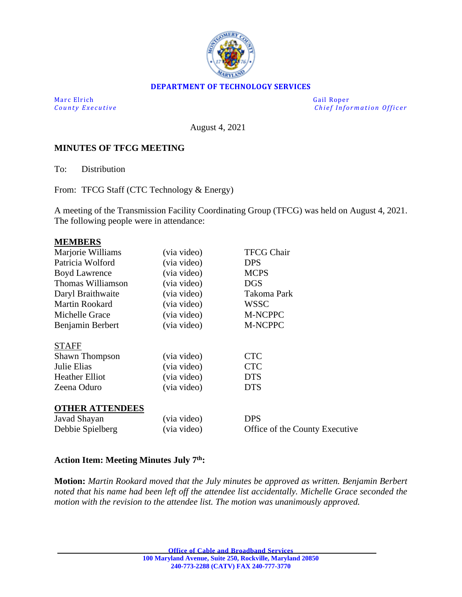

## **DEPARTMENT OF TECHNOLOGY SERVICES**

Marc Elrich Gail Roper

*County Executive* **Executive** *County Executive Chief Information Officer* 

August 4, 2021

## **MINUTES OF TFCG MEETING**

To: Distribution

From: TFCG Staff (CTC Technology & Energy)

A meeting of the Transmission Facility Coordinating Group (TFCG) was held on August 4, 2021. The following people were in attendance:

#### **MEMBERS**

| Marjorie Williams      | (via video) | <b>TFCG Chair</b>              |
|------------------------|-------------|--------------------------------|
| Patricia Wolford       | (via video) | <b>DPS</b>                     |
| <b>Boyd Lawrence</b>   | (via video) | <b>MCPS</b>                    |
| Thomas Williamson      | (via video) | DGS                            |
| Daryl Braithwaite      | (via video) | Takoma Park                    |
| <b>Martin Rookard</b>  | (via video) | <b>WSSC</b>                    |
| Michelle Grace         | (via video) | M-NCPPC                        |
| Benjamin Berbert       | (via video) | M-NCPPC                        |
|                        |             |                                |
| <b>STAFF</b>           |             |                                |
| <b>Shawn Thompson</b>  | (via video) | <b>CTC</b>                     |
| Julie Elias            | (via video) | <b>CTC</b>                     |
| <b>Heather Elliot</b>  | (via video) | <b>DTS</b>                     |
| Zeena Oduro            | (via video) | <b>DTS</b>                     |
|                        |             |                                |
| <b>OTHER ATTENDEES</b> |             |                                |
| Javad Shayan           | (via video) | <b>DPS</b>                     |
| Debbie Spielberg       | (via video) | Office of the County Executive |
|                        |             |                                |

## **Action Item: Meeting Minutes July 7 th:**

**Motion:** *Martin Rookard moved that the July minutes be approved as written. Benjamin Berbert noted that his name had been left off the attendee list accidentally. Michelle Grace seconded the motion with the revision to the attendee list. The motion was unanimously approved.*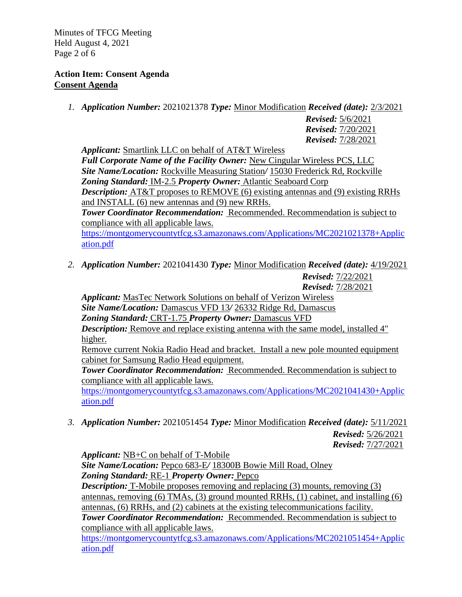Minutes of TFCG Meeting Held August 4, 2021 Page 2 of 6

## **Action Item: Consent Agenda Consent Agenda**

*1. Application Number:* 2021021378 *Type:* Minor Modification *Received (date):* 2/3/2021

*Revised:* 5/6/2021 *Revised:* 7/20/2021 *Revised:* 7/28/2021

*Applicant:* Smartlink LLC on behalf of AT&T Wireless *Full Corporate Name of the Facility Owner:* New Cingular Wireless PCS, LLC *Site Name/Location:* Rockville Measuring Station*/* 15030 Frederick Rd, Rockville *Zoning Standard:* IM-2.5 *Property Owner:* Atlantic Seaboard Corp *Description:* AT&T proposes to REMOVE (6) existing antennas and (9) existing RRHs and INSTALL (6) new antennas and (9) new RRHs. *Tower Coordinator Recommendation:* Recommended. Recommendation is subject to compliance with all applicable laws. [https://montgomerycountytfcg.s3.amazonaws.com/Applications/MC2021021378+Applic](https://montgomerycountytfcg.s3.amazonaws.com/Applications/MC2021021378+Application.pdf)

[ation.pdf](https://montgomerycountytfcg.s3.amazonaws.com/Applications/MC2021021378+Application.pdf)

*2. Application Number:* 2021041430 *Type:* Minor Modification *Received (date):* 4/19/2021 *Revised:* 7/22/2021

*Revised:* 7/28/2021

*Applicant:* MasTec Network Solutions on behalf of Verizon Wireless *Site Name/Location:* Damascus VFD 13*/* 26332 Ridge Rd, Damascus *Zoning Standard:* CRT-1.75 *Property Owner:* Damascus VFD *Description:* Remove and replace existing antenna with the same model, installed 4" higher.

Remove current Nokia Radio Head and bracket. Install a new pole mounted equipment cabinet for Samsung Radio Head equipment.

*Tower Coordinator Recommendation:* Recommended. Recommendation is subject to compliance with all applicable laws.

[https://montgomerycountytfcg.s3.amazonaws.com/Applications/MC2021041430+Applic](https://montgomerycountytfcg.s3.amazonaws.com/Applications/MC2021041430+Application.pdf) [ation.pdf](https://montgomerycountytfcg.s3.amazonaws.com/Applications/MC2021041430+Application.pdf)

*3. Application Number:* 2021051454 *Type:* Minor Modification *Received (date):* 5/11/2021 *Revised:* 5/26/2021 *Revised:* 7/27/2021

*Applicant:* NB+C on behalf of T-Mobile

*Site Name/Location:* Pepco 683-E*/* 18300B Bowie Mill Road, Olney *Zoning Standard:* RE-1 *Property Owner:* Pepco

*Description:* T-Mobile proposes removing and replacing (3) mounts, removing (3) antennas, removing (6) TMAs, (3) ground mounted RRHs, (1) cabinet, and installing (6) antennas, (6) RRHs, and (2) cabinets at the existing telecommunications facility.

*Tower Coordinator Recommendation:* Recommended. Recommendation is subject to compliance with all applicable laws.

[https://montgomerycountytfcg.s3.amazonaws.com/Applications/MC2021051454+Applic](https://montgomerycountytfcg.s3.amazonaws.com/Applications/MC2021051454+Application.pdf) [ation.pdf](https://montgomerycountytfcg.s3.amazonaws.com/Applications/MC2021051454+Application.pdf)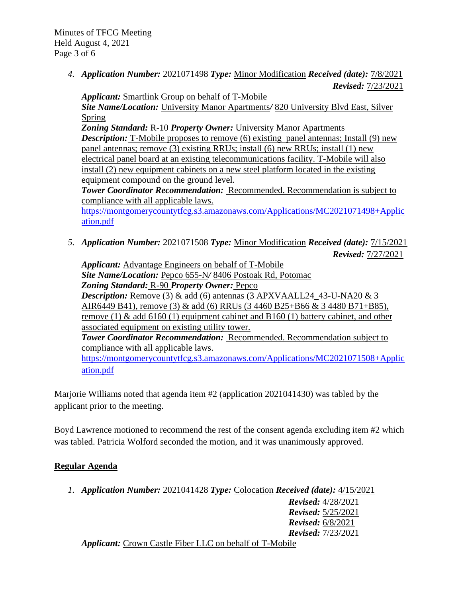Minutes of TFCG Meeting Held August 4, 2021 Page 3 of 6

> *4. Application Number:* 2021071498 *Type:* Minor Modification *Received (date):* 7/8/2021 *Revised:* 7/23/2021

*Applicant:* Smartlink Group on behalf of T-Mobile *Site Name/Location:* University Manor Apartments*/* 820 University Blvd East, Silver Spring

*Zoning Standard:* R-10 *Property Owner:* University Manor Apartments

*Description:* T-Mobile proposes to remove (6) existing panel antennas; Install (9) new panel antennas; remove (3) existing RRUs; install (6) new RRUs; install (1) new electrical panel board at an existing telecommunications facility. T-Mobile will also install (2) new equipment cabinets on a new steel platform located in the existing equipment compound on the ground level.

*Tower Coordinator Recommendation:* Recommended. Recommendation is subject to compliance with all applicable laws.

[https://montgomerycountytfcg.s3.amazonaws.com/Applications/MC2021071498+Applic](https://montgomerycountytfcg.s3.amazonaws.com/Applications/MC2021071498+Application.pdf) [ation.pdf](https://montgomerycountytfcg.s3.amazonaws.com/Applications/MC2021071498+Application.pdf)

*5. Application Number:* 2021071508 *Type:* Minor Modification *Received (date):* 7/15/2021 *Revised:* 7/27/2021

*Applicant:* Advantage Engineers on behalf of T-Mobile *Site Name/Location:* Pepco 655-N*/* 8406 Postoak Rd, Potomac *Zoning Standard:* R-90 *Property Owner:* Pepco *Description:* Remove (3) & add (6) antennas (3 APXVAALL24 43-U-NA20 & 3 AIR6449 B41), remove (3) & add (6) RRUs (3 4460 B25+B66 & 3 4480 B71+B85), remove (1)  $\&$  add 6160 (1) equipment cabinet and B160 (1) battery cabinet, and other associated equipment on existing utility tower. *Tower Coordinator Recommendation:* Recommended. Recommendation subject to compliance with all applicable laws. [https://montgomerycountytfcg.s3.amazonaws.com/Applications/MC2021071508+Applic](https://montgomerycountytfcg.s3.amazonaws.com/Applications/MC2021071508+Application.pdf) [ation.pdf](https://montgomerycountytfcg.s3.amazonaws.com/Applications/MC2021071508+Application.pdf)

Marjorie Williams noted that agenda item #2 (application 2021041430) was tabled by the applicant prior to the meeting.

Boyd Lawrence motioned to recommend the rest of the consent agenda excluding item #2 which was tabled. Patricia Wolford seconded the motion, and it was unanimously approved.

# **Regular Agenda**

*1. Application Number:* 2021041428 *Type:* Colocation *Received (date):* 4/15/2021

*Revised:* 4/28/2021 *Revised:* 5/25/2021 *Revised:* 6/8/2021 *Revised:* 7/23/2021

*Applicant:* Crown Castle Fiber LLC on behalf of T-Mobile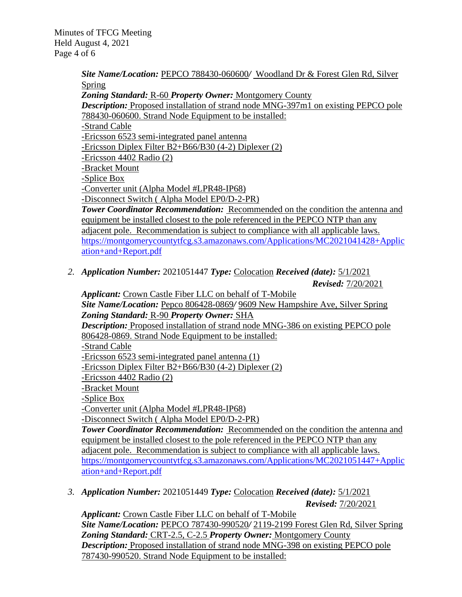Minutes of TFCG Meeting Held August 4, 2021 Page 4 of 6

> *Site Name/Location:* PEPCO 788430-060600*/* Woodland Dr & Forest Glen Rd, Silver Spring

*Zoning Standard:* R-60 *Property Owner:* Montgomery County

*Description:* Proposed installation of strand node MNG-397m1 on existing PEPCO pole 788430-060600. Strand Node Equipment to be installed:

-Strand Cable

-Ericsson 6523 semi-integrated panel antenna

-Ericsson Diplex Filter B2+B66/B30 (4-2) Diplexer (2)

-Ericsson 4402 Radio (2)

-Bracket Mount

-Splice Box

-Converter unit (Alpha Model #LPR48-IP68)

-Disconnect Switch ( Alpha Model EP0/D-2-PR)

*Tower Coordinator Recommendation:* Recommended on the condition the antenna and equipment be installed closest to the pole referenced in the PEPCO NTP than any adjacent pole. Recommendation is subject to compliance with all applicable laws. [https://montgomerycountytfcg.s3.amazonaws.com/Applications/MC2021041428+Applic](https://montgomerycountytfcg.s3.amazonaws.com/Applications/MC2021041428+Application+and+Report.pdf) [ation+and+Report.pdf](https://montgomerycountytfcg.s3.amazonaws.com/Applications/MC2021041428+Application+and+Report.pdf)

*2. Application Number:* 2021051447 *Type:* Colocation *Received (date):* 5/1/2021 *Revised:* 7/20/2021

*Applicant:* Crown Castle Fiber LLC on behalf of T-Mobile *Site Name/Location:* Pepco 806428-0869*/* 9609 New Hampshire Ave, Silver Spring *Zoning Standard:* R-90 *Property Owner:* SHA *Description:* Proposed installation of strand node MNG-386 on existing PEPCO pole 806428-0869. Strand Node Equipment to be installed: -Strand Cable -Ericsson 6523 semi-integrated panel antenna (1) -Ericsson Diplex Filter B2+B66/B30 (4-2) Diplexer (2) -Ericsson 4402 Radio (2) -Bracket Mount -Splice Box -Converter unit (Alpha Model #LPR48-IP68) -Disconnect Switch ( Alpha Model EP0/D-2-PR) *Tower Coordinator Recommendation:* Recommended on the condition the antenna and equipment be installed closest to the pole referenced in the PEPCO NTP than any adjacent pole. Recommendation is subject to compliance with all applicable laws. [https://montgomerycountytfcg.s3.amazonaws.com/Applications/MC2021051447+Applic](https://montgomerycountytfcg.s3.amazonaws.com/Applications/MC2021051447+Application+and+Report.pdf) [ation+and+Report.pdf](https://montgomerycountytfcg.s3.amazonaws.com/Applications/MC2021051447+Application+and+Report.pdf)

*3. Application Number:* 2021051449 *Type:* Colocation *Received (date):* 5/1/2021

*Revised:* 7/20/2021

*Applicant:* Crown Castle Fiber LLC on behalf of T-Mobile *Site Name/Location:* PEPCO 787430-990520*/* 2119-2199 Forest Glen Rd, Silver Spring *Zoning Standard:* CRT-2.5, C-2.5 *Property Owner:* Montgomery County *Description:* Proposed installation of strand node MNG-398 on existing PEPCO pole 787430-990520. Strand Node Equipment to be installed: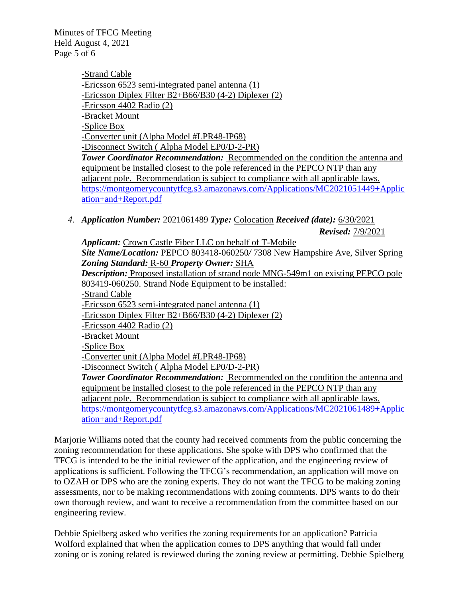Minutes of TFCG Meeting Held August 4, 2021 Page 5 of 6

> -Strand Cable -Ericsson 6523 semi-integrated panel antenna (1) -Ericsson Diplex Filter B2+B66/B30 (4-2) Diplexer (2) -Ericsson 4402 Radio (2) -Bracket Mount -Splice Box -Converter unit (Alpha Model #LPR48-IP68) -Disconnect Switch ( Alpha Model EP0/D-2-PR) *Tower Coordinator Recommendation:* Recommended on the condition the antenna and

> equipment be installed closest to the pole referenced in the PEPCO NTP than any adjacent pole. Recommendation is subject to compliance with all applicable laws. [https://montgomerycountytfcg.s3.amazonaws.com/Applications/MC2021051449+Applic](https://montgomerycountytfcg.s3.amazonaws.com/Applications/MC2021051449+Application+and+Report.pdf) [ation+and+Report.pdf](https://montgomerycountytfcg.s3.amazonaws.com/Applications/MC2021051449+Application+and+Report.pdf)

*4. Application Number:* 2021061489 *Type:* Colocation *Received (date):* 6/30/2021 *Revised:* 7/9/2021

*Applicant:* Crown Castle Fiber LLC on behalf of T-Mobile *Site Name/Location:* PEPCO 803418-060250*/* 7308 New Hampshire Ave, Silver Spring *Zoning Standard:* R-60 *Property Owner:* SHA *Description:* Proposed installation of strand node MNG-549m1 on existing PEPCO pole 803419-060250. Strand Node Equipment to be installed: -Strand Cable -Ericsson 6523 semi-integrated panel antenna (1) -Ericsson Diplex Filter B2+B66/B30 (4-2) Diplexer (2) -Ericsson 4402 Radio (2) -Bracket Mount -Splice Box -Converter unit (Alpha Model #LPR48-IP68) -Disconnect Switch ( Alpha Model EP0/D-2-PR) *Tower Coordinator Recommendation:* Recommended on the condition the antenna and equipment be installed closest to the pole referenced in the PEPCO NTP than any adjacent pole. Recommendation is subject to compliance with all applicable laws. [https://montgomerycountytfcg.s3.amazonaws.com/Applications/MC2021061489+Applic](https://montgomerycountytfcg.s3.amazonaws.com/Applications/MC2021061489+Application+and+Report.pdf) [ation+and+Report.pdf](https://montgomerycountytfcg.s3.amazonaws.com/Applications/MC2021061489+Application+and+Report.pdf)

Marjorie Williams noted that the county had received comments from the public concerning the zoning recommendation for these applications. She spoke with DPS who confirmed that the TFCG is intended to be the initial reviewer of the application, and the engineering review of applications is sufficient. Following the TFCG's recommendation, an application will move on to OZAH or DPS who are the zoning experts. They do not want the TFCG to be making zoning assessments, nor to be making recommendations with zoning comments. DPS wants to do their own thorough review, and want to receive a recommendation from the committee based on our engineering review.

Debbie Spielberg asked who verifies the zoning requirements for an application? Patricia Wolford explained that when the application comes to DPS anything that would fall under zoning or is zoning related is reviewed during the zoning review at permitting. Debbie Spielberg